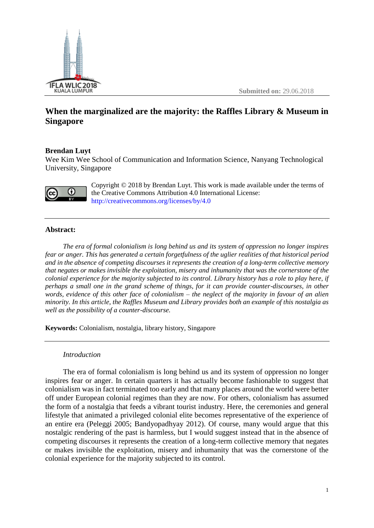

**Submitted on:** 29.06.2018

# **When the marginalized are the majority: the Raffles Library & Museum in Singapore**

## **Brendan Luyt**

Wee Kim Wee School of Communication and Information Science, Nanyang Technological University, Singapore



Copyright © 2018 by Brendan Luyt. This work is made available under the terms of the Creative Commons Attribution 4.0 International License: <http://creativecommons.org/licenses/by/4.0>

## **Abstract:**

*The era of formal colonialism is long behind us and its system of oppression no longer inspires fear or anger. This has generated a certain forgetfulness of the uglier realities of that historical period and in the absence of competing discourses it represents the creation of a long-term collective memory that negates or makes invisible the exploitation, misery and inhumanity that was the cornerstone of the colonial experience for the majority subjected to its control. Library history has a role to play here, if perhaps a small one in the grand scheme of things, for it can provide counter-discourses, in other words, evidence of this other face of colonialism – the neglect of the majority in favour of an alien minority. In this article, the Raffles Museum and Library provides both an example of this nostalgia as well as the possibility of a counter-discourse.*

**Keywords:** Colonialism, nostalgia, library history, Singapore

### *Introduction*

The era of formal colonialism is long behind us and its system of oppression no longer inspires fear or anger. In certain quarters it has actually become fashionable to suggest that colonialism was in fact terminated too early and that many places around the world were better off under European colonial regimes than they are now. For others, colonialism has assumed the form of a nostalgia that feeds a vibrant tourist industry. Here, the ceremonies and general lifestyle that animated a privileged colonial elite becomes representative of the experience of an entire era (Peleggi 2005; Bandyopadhyay 2012). Of course, many would argue that this nostalgic rendering of the past is harmless, but I would suggest instead that in the absence of competing discourses it represents the creation of a long-term collective memory that negates or makes invisible the exploitation, misery and inhumanity that was the cornerstone of the colonial experience for the majority subjected to its control.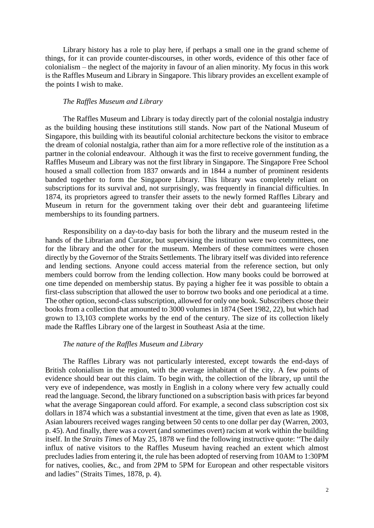Library history has a role to play here, if perhaps a small one in the grand scheme of things, for it can provide counter-discourses, in other words, evidence of this other face of colonialism – the neglect of the majority in favour of an alien minority. My focus in this work is the Raffles Museum and Library in Singapore. This library provides an excellent example of the points I wish to make.

#### *The Raffles Museum and Library*

The Raffles Museum and Library is today directly part of the colonial nostalgia industry as the building housing these institutions still stands. Now part of the National Museum of Singapore, this building with its beautiful colonial architecture beckons the visitor to embrace the dream of colonial nostalgia, rather than aim for a more reflective role of the institution as a partner in the colonial endeavour. Although it was the first to receive government funding, the Raffles Museum and Library was not the first library in Singapore. The Singapore Free School housed a small collection from 1837 onwards and in 1844 a number of prominent residents banded together to form the Singapore Library. This library was completely reliant on subscriptions for its survival and, not surprisingly, was frequently in financial difficulties. In 1874, its proprietors agreed to transfer their assets to the newly formed Raffles Library and Museum in return for the government taking over their debt and guaranteeing lifetime memberships to its founding partners.

Responsibility on a day-to-day basis for both the library and the museum rested in the hands of the Librarian and Curator, but supervising the institution were two committees, one for the library and the other for the museum. Members of these committees were chosen directly by the Governor of the Straits Settlements. The library itself was divided into reference and lending sections. Anyone could access material from the reference section, but only members could borrow from the lending collection. How many books could be borrowed at one time depended on membership status. By paying a higher fee it was possible to obtain a first-class subscription that allowed the user to borrow two books and one periodical at a time. The other option, second-class subscription, allowed for only one book. Subscribers chose their books from a collection that amounted to 3000 volumes in 1874 (Seet 1982, 22), but which had grown to 13,103 complete works by the end of the century. The size of its collection likely made the Raffles Library one of the largest in Southeast Asia at the time.

#### *The nature of the Raffles Museum and Library*

The Raffles Library was not particularly interested, except towards the end-days of British colonialism in the region, with the average inhabitant of the city. A few points of evidence should bear out this claim. To begin with, the collection of the library, up until the very eve of independence, was mostly in English in a colony where very few actually could read the language. Second, the library functioned on a subscription basis with prices far beyond what the average Singaporean could afford. For example, a second class subscription cost six dollars in 1874 which was a substantial investment at the time, given that even as late as 1908, Asian labourers received wages ranging between 50 cents to one dollar per day (Warren, 2003, p. 45). And finally, there was a covert (and sometimes overt) racism at work within the building itself. In the *Straits Times* of May 25, 1878 we find the following instructive quote: "The daily influx of native visitors to the Raffles Museum having reached an extent which almost precludes ladies from entering it, the rule has been adopted of reserving from 10AM to 1:30PM for natives, coolies, &c., and from 2PM to 5PM for European and other respectable visitors and ladies" (Straits Times, 1878, p. 4).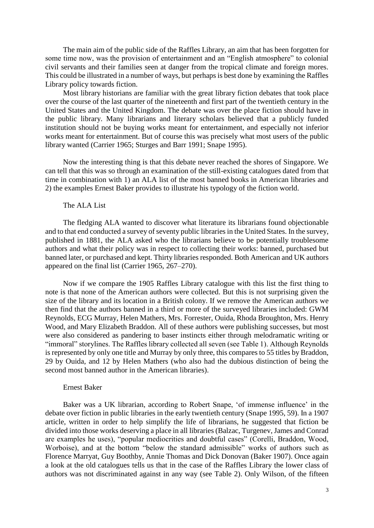The main aim of the public side of the Raffles Library, an aim that has been forgotten for some time now, was the provision of entertainment and an "English atmosphere" to colonial civil servants and their families seen at danger from the tropical climate and foreign mores. This could be illustrated in a number of ways, but perhaps is best done by examining the Raffles Library policy towards fiction.

Most library historians are familiar with the great library fiction debates that took place over the course of the last quarter of the nineteenth and first part of the twentieth century in the United States and the United Kingdom. The debate was over the place fiction should have in the public library. Many librarians and literary scholars believed that a publicly funded institution should not be buying works meant for entertainment, and especially not inferior works meant for entertainment. But of course this was precisely what most users of the public library wanted (Carrier 1965; Sturges and Barr 1991; Snape 1995).

Now the interesting thing is that this debate never reached the shores of Singapore. We can tell that this was so through an examination of the still-existing catalogues dated from that time in combination with 1) an ALA list of the most banned books in American libraries and 2) the examples Ernest Baker provides to illustrate his typology of the fiction world.

### The ALA List

The fledging ALA wanted to discover what literature its librarians found objectionable and to that end conducted a survey of seventy public libraries in the United States. In the survey, published in 1881, the ALA asked who the librarians believe to be potentially troublesome authors and what their policy was in respect to collecting their works: banned, purchased but banned later, or purchased and kept. Thirty libraries responded. Both American and UK authors appeared on the final list (Carrier 1965, 267–270).

Now if we compare the 1905 Raffles Library catalogue with this list the first thing to note is that none of the American authors were collected. But this is not surprising given the size of the library and its location in a British colony. If we remove the American authors we then find that the authors banned in a third or more of the surveyed libraries included: GWM Reynolds, ECG Murray, Helen Mathers, Mrs. Forrester, Ouida, Rhoda Broughton, Mrs. Henry Wood, and Mary Elizabeth Braddon. All of these authors were publishing successes, but most were also considered as pandering to baser instincts either through melodramatic writing or "immoral" storylines. The Raffles library collected all seven (see Table 1). Although Reynolds is represented by only one title and Murray by only three, this compares to 55 titles by Braddon, 29 by Ouida, and 12 by Helen Mathers (who also had the dubious distinction of being the second most banned author in the American libraries).

#### Ernest Baker

Baker was a UK librarian, according to Robert Snape, 'of immense influence' in the debate over fiction in public libraries in the early twentieth century (Snape 1995, 59). In a 1907 article, written in order to help simplify the life of librarians, he suggested that fiction be divided into those works deserving a place in all libraries (Balzac, Turgenev, James and Conrad are examples he uses), "popular mediocrities and doubtful cases" (Corelli, Braddon, Wood, Worboise), and at the bottom "below the standard admissible" works of authors such as Florence Marryat, Guy Boothby, Annie Thomas and Dick Donovan (Baker 1907). Once again a look at the old catalogues tells us that in the case of the Raffles Library the lower class of authors was not discriminated against in any way (see Table 2). Only Wilson, of the fifteen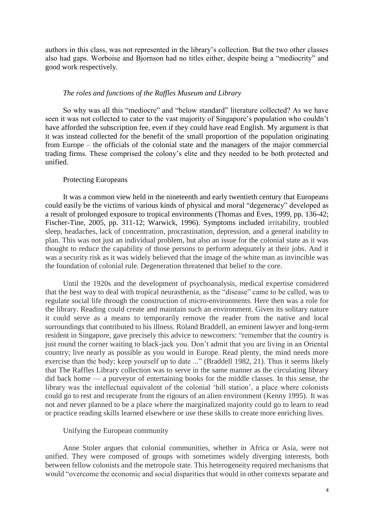authors in this class, was not represented in the library's collection. But the two other classes also had gaps. Worboise and Bjornson had no titles either, despite being a "mediocrity" and good work respectively.

#### *The roles and functions of the Raffles Museum and Library*

So why was all this "mediocre" and "below standard" literature collected? As we have seen it was not collected to cater to the vast majority of Singapore's population who couldn't have afforded the subscription fee, even if they could have read English. My argument is that it was instead collected for the benefit of the small proportion of the population originating from Europe – the officials of the colonial state and the managers of the major commercial trading firms. These comprised the colony's elite and they needed to be both protected and unified.

#### Protecting Europeans

It was a common view held in the nineteenth and early twentieth century that Europeans could easily be the victims of various kinds of physical and moral "degeneracy" developed as a result of prolonged exposure to tropical environments (Thomas and Eves, 1999, pp. 136-42; Fischer-Tine, 2005, pp. 311-12; Warwick, 1996). Symptoms included irritability, troubled sleep, headaches, lack of concentration, procrastination, depression, and a general inability to plan. This was not just an individual problem, but also an issue for the colonial state as it was thought to reduce the capability of those persons to perform adequately at their jobs. And it was a security risk as it was widely believed that the image of the white man as invincible was the foundation of colonial rule. Degeneration threatened that belief to the core.

Until the 1920s and the development of psychoanalysis, medical expertise considered that the best way to deal with tropical neurasthenia, as the "disease" came to be called, was to regulate social life through the construction of micro-environments. Here then was a role for the library. Reading could create and maintain such an environment. Given its solitary nature it could serve as a means to temporarily remove the reader from the native and local surroundings that contributed to his illness. Roland Braddell, an eminent lawyer and long-term resident in Singapore, gave precisely this advice to newcomers: "remember that the country is just round the corner waiting to black-jack you. Don't admit that you are living in an Oriental country; live nearly as possible as you would in Europe. Read plenty, the mind needs more exercise than the body; keep yourself up to date ..." (Braddell 1982, 21). Thus it seems likely that The Raffles Library collection was to serve in the same manner as the circulating library did back home — a purveyor of entertaining books for the middle classes. In this sense, the library was the intellectual equivalent of the colonial 'hill station', a place where colonists could go to rest and recuperate from the rigours of an alien environment (Kenny 1995). It was not and never planned to be a place where the marginalized majority could go to learn to read or practice reading skills learned elsewhere or use these skills to create more enriching lives.

#### Unifying the European community

Anne Stoler argues that colonial communities, whether in Africa or Asia, were not unified. They were composed of groups with sometimes widely diverging interests, both between fellow colonists and the metropole state. This heterogeneity required mechanisms that would "overcome the economic and social disparities that would in other contexts separate and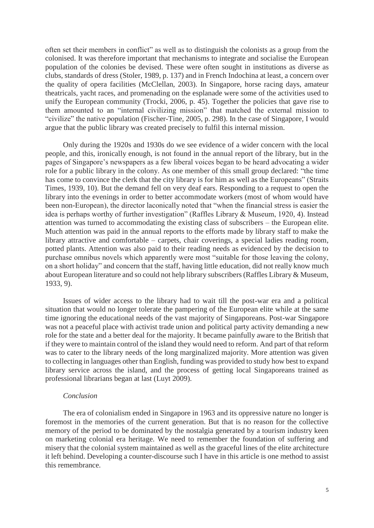often set their members in conflict" as well as to distinguish the colonists as a group from the colonised. It was therefore important that mechanisms to integrate and socialise the European population of the colonies be devised. These were often sought in institutions as diverse as clubs, standards of dress (Stoler, 1989, p. 137) and in French Indochina at least, a concern over the quality of opera facilities (McClellan, 2003). In Singapore, horse racing days, amateur theatricals, yacht races, and promenading on the esplanade were some of the activities used to unify the European community (Trocki, 2006, p. 45). Together the policies that gave rise to them amounted to an "internal civilizing mission" that matched the external mission to "civilize" the native population (Fischer-Tine, 2005, p. 298). In the case of Singapore, I would argue that the public library was created precisely to fulfil this internal mission.

Only during the 1920s and 1930s do we see evidence of a wider concern with the local people, and this, ironically enough, is not found in the annual report of the library, but in the pages of Singapore's newspapers as a few liberal voices began to be heard advocating a wider role for a public library in the colony. As one member of this small group declared: "the time has come to convince the clerk that the city library is for him as well as the Europeans" (Straits Times, 1939, 10). But the demand fell on very deaf ears. Responding to a request to open the library into the evenings in order to better accommodate workers (most of whom would have been non-European), the director laconically noted that "when the financial stress is easier the idea is perhaps worthy of further investigation" (Raffles Library & Museum, 1920, 4). Instead attention was turned to accommodating the existing class of subscribers – the European elite. Much attention was paid in the annual reports to the efforts made by library staff to make the library attractive and comfortable – carpets, chair coverings, a special ladies reading room, potted plants. Attention was also paid to their reading needs as evidenced by the decision to purchase omnibus novels which apparently were most "suitable for those leaving the colony, on a short holiday" and concern that the staff, having little education, did not really know much about European literature and so could not help library subscribers (Raffles Library & Museum, 1933, 9).

Issues of wider access to the library had to wait till the post-war era and a political situation that would no longer tolerate the pampering of the European elite while at the same time ignoring the educational needs of the vast majority of Singaporeans. Post-war Singapore was not a peaceful place with activist trade union and political party activity demanding a new role for the state and a better deal for the majority. It became painfully aware to the British that if they were to maintain control of the island they would need to reform. And part of that reform was to cater to the library needs of the long marginalized majority. More attention was given to collecting in languages other than English, funding was provided to study how best to expand library service across the island, and the process of getting local Singaporeans trained as professional librarians began at last (Luyt 2009).

### *Conclusion*

The era of colonialism ended in Singapore in 1963 and its oppressive nature no longer is foremost in the memories of the current generation. But that is no reason for the collective memory of the period to be dominated by the nostalgia generated by a tourism industry keen on marketing colonial era heritage. We need to remember the foundation of suffering and misery that the colonial system maintained as well as the graceful lines of the elite architecture it left behind. Developing a counter-discourse such I have in this article is one method to assist this remembrance.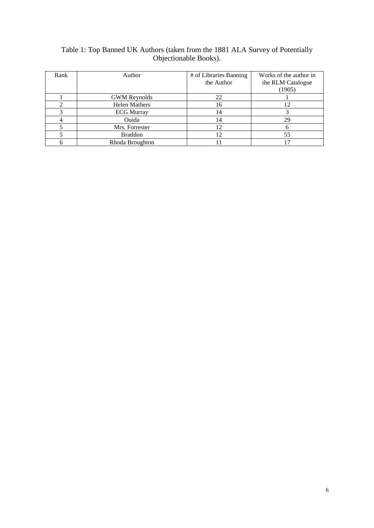## Table 1: Top Banned UK Authors (taken from the 1881 ALA Survey of Potentially Objectionable Books).

| Rank | Author               | # of Libraries Banning | Works of the author in |
|------|----------------------|------------------------|------------------------|
|      |                      | the Author             | the RLM Catalogue      |
|      |                      |                        | (1905)                 |
|      | <b>GWM</b> Reynolds  | 22                     |                        |
|      | <b>Helen Mathers</b> | 16                     |                        |
|      | <b>ECG Murray</b>    | 14                     |                        |
|      | Ouida                | 14                     | 29                     |
|      | Mrs. Forrester       | 12                     |                        |
|      | <b>Braddon</b>       | 12                     | 55                     |
|      | Rhoda Broughton      |                        |                        |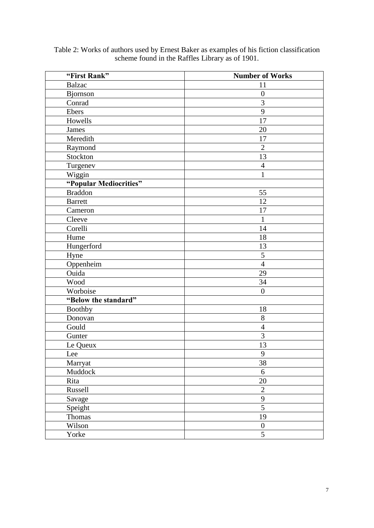| "First Rank"           | <b>Number of Works</b> |  |
|------------------------|------------------------|--|
| <b>Balzac</b>          | 11                     |  |
| Bjornson               | $\boldsymbol{0}$       |  |
| Conrad                 | $\overline{3}$         |  |
| Ebers                  | 9                      |  |
| Howells                | 17                     |  |
| James                  | 20                     |  |
| Meredith               | 17                     |  |
| Raymond                | $\overline{2}$         |  |
| Stockton               | 13                     |  |
| Turgenev               | $\overline{4}$         |  |
| Wiggin                 | $\mathbf{1}$           |  |
| "Popular Mediocrities" |                        |  |
| <b>Braddon</b>         | 55                     |  |
| <b>Barrett</b>         | 12                     |  |
| Cameron                | 17                     |  |
| Cleeve                 | $\mathbf{1}$           |  |
| Corelli                | 14                     |  |
| Hume                   | 18                     |  |
| Hungerford             | 13                     |  |
| Hyne                   | 5                      |  |
| Oppenheim              | $\overline{4}$         |  |
| Ouida                  | 29                     |  |
| Wood                   | 34                     |  |
| Worboise               | $\overline{0}$         |  |
| "Below the standard"   |                        |  |
| <b>Boothby</b>         | 18                     |  |
| Donovan                | 8                      |  |
| Gould                  | $\overline{4}$         |  |
| Gunter                 | 3                      |  |
| Le Queux               | 13                     |  |
| Lee                    | 9                      |  |
| Marryat                | 38                     |  |
| Muddock                | 6                      |  |
| Rita                   | $20\,$                 |  |
| Russell                | $\overline{2}$         |  |
| Savage                 | 9                      |  |
| Speight                | $\overline{5}$         |  |
| Thomas                 | 19                     |  |
| Wilson                 | $\boldsymbol{0}$       |  |
| Yorke                  | 5                      |  |

Table 2: Works of authors used by Ernest Baker as examples of his fiction classification scheme found in the Raffles Library as of 1901.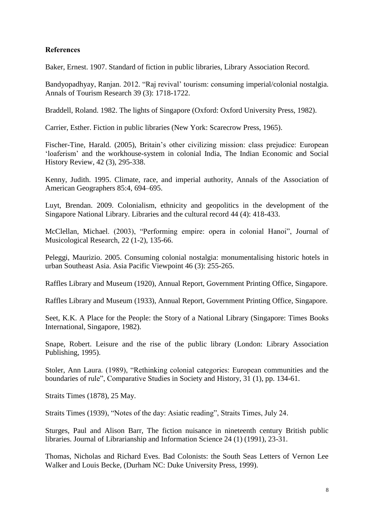## **References**

Baker, Ernest. 1907. Standard of fiction in public libraries, Library Association Record.

Bandyopadhyay, Ranjan. 2012. "Raj revival' tourism: consuming imperial/colonial nostalgia. Annals of Tourism Research 39 (3): 1718-1722.

Braddell, Roland. 1982. The lights of Singapore (Oxford: Oxford University Press, 1982).

Carrier, Esther. Fiction in public libraries (New York: Scarecrow Press, 1965).

Fischer-Tine, Harald. (2005), Britain's other civilizing mission: class prejudice: European 'loaferism' and the workhouse-system in colonial India, The Indian Economic and Social History Review, 42 (3), 295-338.

Kenny, Judith. 1995. Climate, race, and imperial authority, Annals of the Association of American Geographers 85:4, 694–695.

Luyt, Brendan. 2009. Colonialism, ethnicity and geopolitics in the development of the Singapore National Library. Libraries and the cultural record 44 (4): 418-433.

McClellan, Michael. (2003), "Performing empire: opera in colonial Hanoi", Journal of Musicological Research, 22 (1-2), 135-66.

Peleggi, Maurizio. 2005. Consuming colonial nostalgia: monumentalising historic hotels in urban Southeast Asia. Asia Pacific Viewpoint 46 (3): 255-265.

Raffles Library and Museum (1920), Annual Report, Government Printing Office, Singapore.

Raffles Library and Museum (1933), Annual Report, Government Printing Office, Singapore.

Seet, K.K. A Place for the People: the Story of a National Library (Singapore: Times Books International, Singapore, 1982).

Snape, Robert. Leisure and the rise of the public library (London: Library Association Publishing, 1995).

Stoler, Ann Laura. (1989), "Rethinking colonial categories: European communities and the boundaries of rule", Comparative Studies in Society and History, 31 (1), pp. 134-61.

Straits Times (1878), 25 May.

Straits Times (1939), "Notes of the day: Asiatic reading", Straits Times, July 24.

Sturges, Paul and Alison Barr, The fiction nuisance in nineteenth century British public libraries. Journal of Librarianship and Information Science 24 (1) (1991), 23-31.

Thomas, Nicholas and Richard Eves. Bad Colonists: the South Seas Letters of Vernon Lee Walker and Louis Becke, (Durham NC: Duke University Press, 1999).